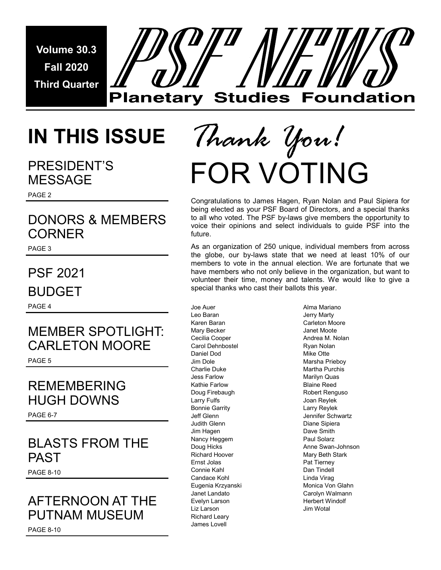**Volume 30.3 Fall 2020 Third Quarter** 



## **IN THIS ISSUE**

### PRESIDENT'S MESSAGE

PAGE 2

### DONORS & MEMBERS **CORNER**

PAGE 3

### PSF 2021 **BUDGET**

PAGE 4

### MEMBER SPOTLIGHT: CARLETON MOORE PAGE 5

### REMEMBERING HUGH DOWNS

PAGE 6-7

### BLASTS FROM THE PAST

PAGE 8-10

### AFTERNOON AT THE PUTNAM MUSEUM

# FOR VOTING *Thank You!*

Congratulations to James Hagen, Ryan Nolan and Paul Sipiera for being elected as your PSF Board of Directors, and a special thanks to all who voted. The PSF by-laws give members the opportunity to voice their opinions and select individuals to guide PSF into the future.

As an organization of 250 unique, individual members from across the globe, our by-laws state that we need at least 10% of our members to vote in the annual election. We are fortunate that we have members who not only believe in the organization, but want to volunteer their time, money and talents. We would like to give a special thanks who cast their ballots this year.

Joe Auer Leo Baran Karen Baran Mary Becker Cecilia Cooper Carol Dehnbostel Daniel Dod Jim Dole Charlie Duke Jess Farlow Kathie Farlow Doug Firebaugh Larry Fulfs Bonnie Garrity Jeff Glenn Judith Glenn Jim Hagen Nancy Heggem Doug Hicks Richard Hoover Ernst Jolas Connie Kahl Candace Kohl Eugenia Krzyanski Janet Landato Evelyn Larson Liz Larson Richard Leary James Lovell

Alma Mariano Jerry Marty Carleton Moore Janet Moote Andrea M. Nolan Ryan Nolan Mike Otte Marsha Prieboy Martha Purchis Marilyn Quas Blaine Reed Robert Renguso Joan Reylek Larry Reylek Jennifer Schwartz Diane Sipiera Dave Smith Paul Solarz Anne Swan-Johnson Mary Beth Stark Pat Tierney Dan Tindell Linda Virag Monica Von Glahn Carolyn Walmann Herbert Windolf Jim Wotal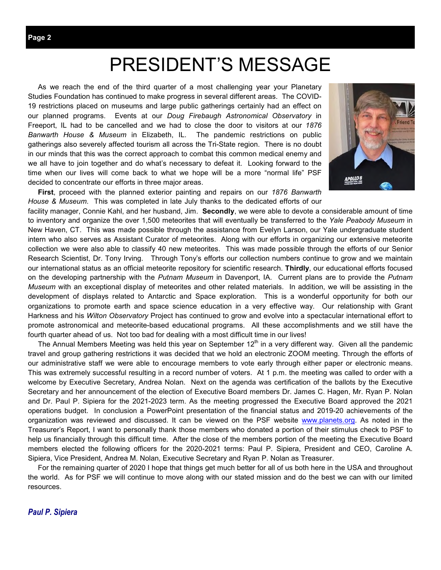### PRESIDENT'S MESSAGE

 As we reach the end of the third quarter of a most challenging year your Planetary Studies Foundation has continued to make progress in several different areas. The COVID-19 restrictions placed on museums and large public gatherings certainly had an effect on our planned programs. Events at our *Doug Firebaugh Astronomical Observatory* in Freeport, IL had to be cancelled and we had to close the door to visitors at our *1876 Banwarth House & Museum* in Elizabeth, IL. The pandemic restrictions on public gatherings also severely affected tourism all across the Tri-State region. There is no doubt in our minds that this was the correct approach to combat this common medical enemy and we all have to join together and do what's necessary to defeat it. Looking forward to the time when our lives will come back to what we hope will be a more "normal life" PSF decided to concentrate our efforts in three major areas.



 **First**, proceed with the planned exterior painting and repairs on our *1876 Banwarth House & Museum*. This was completed in late July thanks to the dedicated efforts of our

facility manager, Connie Kahl, and her husband, Jim. **Secondly**, we were able to devote a considerable amount of time to inventory and organize the over 1,500 meteorites that will eventually be transferred to the *Yale Peabody Museum* in New Haven, CT. This was made possible through the assistance from Evelyn Larson, our Yale undergraduate student intern who also serves as Assistant Curator of meteorites. Along with our efforts in organizing our extensive meteorite collection we were also able to classify 40 new meteorites. This was made possible through the efforts of our Senior Research Scientist, Dr. Tony Irving. Through Tony's efforts our collection numbers continue to grow and we maintain our international status as an official meteorite repository for scientific research. **Thirdly**, our educational efforts focused on the developing partnership with the *Putnam Museum* in Davenport, IA. Current plans are to provide the *Putnam Museum* with an exceptional display of meteorites and other related materials. In addition, we will be assisting in the development of displays related to Antarctic and Space exploration. This is a wonderful opportunity for both our organizations to promote earth and space science education in a very effective way. Our relationship with Grant Harkness and his *Wilton Observatory* Project has continued to grow and evolve into a spectacular international effort to promote astronomical and meteorite-based educational programs. All these accomplishments and we still have the fourth quarter ahead of us. Not too bad for dealing with a most difficult time in our lives!

The Annual Members Meeting was held this year on September  $12<sup>th</sup>$  in a very different way. Given all the pandemic travel and group gathering restrictions it was decided that we hold an electronic ZOOM meeting. Through the efforts of our administrative staff we were able to encourage members to vote early through either paper or electronic means. This was extremely successful resulting in a record number of voters. At 1 p.m. the meeting was called to order with a welcome by Executive Secretary, Andrea Nolan. Next on the agenda was certification of the ballots by the Executive Secretary and her announcement of the election of Executive Board members Dr. James C. Hagen, Mr. Ryan P. Nolan and Dr. Paul P. Sipiera for the 2021-2023 term. As the meeting progressed the Executive Board approved the 2021 operations budget. In conclusion a PowerPoint presentation of the financial status and 2019-20 achievements of the organization was reviewed and discussed. It can be viewed on the PSF website www.planets.org. As noted in the Treasurer's Report, I want to personally thank those members who donated a portion of their stimulus check to PSF to help us financially through this difficult time. After the close of the members portion of the meeting the Executive Board members elected the following officers for the 2020-2021 terms: Paul P. Sipiera, President and CEO, Caroline A. Sipiera, Vice President, Andrea M. Nolan, Executive Secretary and Ryan P. Nolan as Treasurer.

 For the remaining quarter of 2020 I hope that things get much better for all of us both here in the USA and throughout the world. As for PSF we will continue to move along with our stated mission and do the best we can with our limited resources.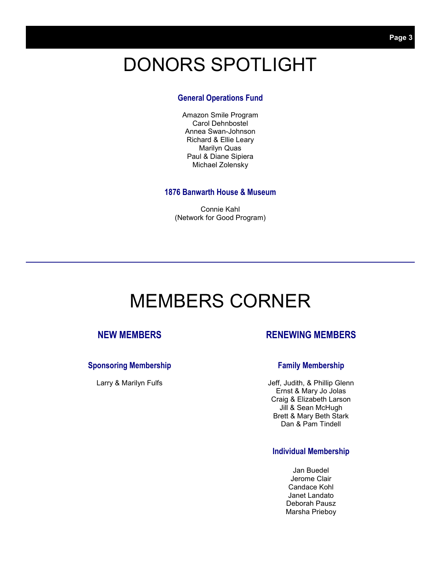## DONORS SPOTLIGHT

### **General Operations Fund**

Amazon Smile Program Carol Dehnbostel Annea Swan-Johnson Richard & Ellie Leary Marilyn Quas Paul & Diane Sipiera Michael Zolensky

### **1876 Banwarth House & Museum**

Connie Kahl (Network for Good Program)

### MEMBERS CORNER

### **NEW MEMBERS**

### **Sponsoring Membership**

Larry & Marilyn Fulfs

### **RENEWING MEMBERS**

### **Family Membership**

Jeff, Judith, & Phillip Glenn Ernst & Mary Jo Jolas Craig & Elizabeth Larson Jill & Sean McHugh Brett & Mary Beth Stark Dan & Pam Tindell

### **Individual Membership**

Jan Buedel Jerome Clair Candace Kohl Janet Landato Deborah Pausz Marsha Prieboy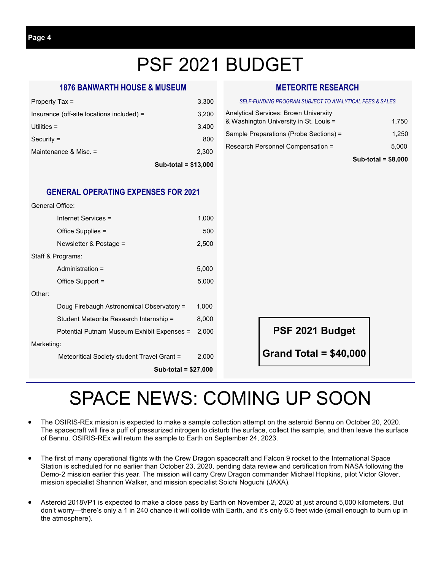## PSF 2021 BUDGET

### **1876 BANWARTH HOUSE & MUSEUM**

|                                           | Sub-total = $$13,000$ |
|-------------------------------------------|-----------------------|
| Maintenance & Misc. =                     | 2.300                 |
| $Security =$                              | 800                   |
| Utilities $=$                             | 3.400                 |
| Insurance (off-site locations included) = | 3,200                 |
| Property Tax =                            | 3,300                 |

### **GENERAL OPERATING EXPENSES FOR 2021**

| General Office:                             |       |
|---------------------------------------------|-------|
| Internet Services =                         | 1,000 |
| Office Supplies =                           | 500   |
| Newsletter & Postage =                      | 2,500 |
| Staff & Programs:                           |       |
| Administration =                            | 5,000 |
| Office Support =                            | 5,000 |
| Other:                                      |       |
| Doug Firebaugh Astronomical Observatory =   | 1,000 |
| Student Meteorite Research Internship =     | 8,000 |
| Potential Putnam Museum Exhibit Expenses =  | 2,000 |
| Marketing:                                  |       |
| Meteoritical Society student Travel Grant = | 2,000 |
| Sub-total = \$27,000                        |       |

### **METEORITE RESEARCH**

#### *SELF-FUNDING PROGRAM SUBJECT TO ANALYTICAL FEES & SALES*

| <b>Analytical Services: Brown University</b> |       |
|----------------------------------------------|-------|
| & Washington University in St. Louis =       | 1.750 |
| Sample Preparations (Probe Sections) =       | 1.250 |
| Research Personnel Compensation =            | 5.000 |
|                                              |       |

#### **Sub-total = \$8,000**

**PSF 2021 Budget** 

**Grand Total = \$40,000** 

## SPACE NEWS: COMING UP SOON

- The OSIRIS-REx mission is expected to make a sample collection attempt on the asteroid Bennu on October 20, 2020. The spacecraft will fire a puff of pressurized nitrogen to disturb the surface, collect the sample, and then leave the surface of Bennu. OSIRIS-REx will return the sample to Earth on September 24, 2023.
- The first of many operational flights with the Crew Dragon spacecraft and Falcon 9 rocket to the International Space Station is scheduled for no earlier than October 23, 2020, pending data review and certification from NASA following the Demo-2 mission earlier this year. The mission will carry Crew Dragon commander Michael Hopkins, pilot Victor Glover, mission specialist Shannon Walker, and mission specialist Soichi Noguchi (JAXA).
- Asteroid 2018VP1 is expected to make a close pass by Earth on November 2, 2020 at just around 5,000 kilometers. But don't worry—there's only a 1 in 240 chance it will collide with Earth, and it's only 6.5 feet wide (small enough to burn up in the atmosphere).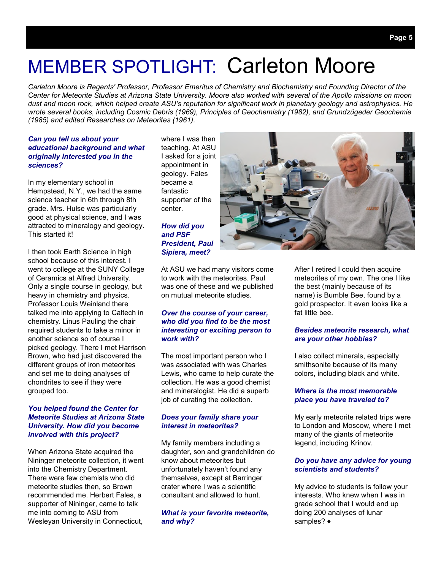## MEMBER SPOTLIGHT: Carleton Moore

*Carleton Moore is Regents' Professor, Professor Emeritus of Chemistry and Biochemistry and Founding Director of the Center for Meteorite Studies at Arizona State University. Moore also worked with several of the Apollo missions on moon dust and moon rock, which helped create ASU's reputation for significant work in planetary geology and astrophysics. He wrote several books, including Cosmic Debris (1969), Principles of Geochemistry (1982), and Grundzügeder Geochemie (1985) and edited Researches on Meteorites (1961).* 

#### *Can you tell us about your educational background and what originally interested you in the sciences?*

In my elementary school in Hempstead, N.Y., we had the same science teacher in 6th through 8th grade. Mrs. Hulse was particularly good at physical science, and I was attracted to mineralogy and geology. This started it!

I then took Earth Science in high school because of this interest. I went to college at the SUNY College of Ceramics at Alfred University. Only a single course in geology, but heavy in chemistry and physics. Professor Louis Weinland there talked me into applying to Caltech in chemistry. Linus Pauling the chair required students to take a minor in another science so of course I picked geology. There I met Harrison Brown, who had just discovered the different groups of iron meteorites and set me to doing analyses of chondrites to see if they were grouped too.

#### *You helped found the Center for Meteorite Studies at Arizona State University. How did you become involved with this project?*

When Arizona State acquired the Nininger meteorite collection, it went into the Chemistry Department. There were few chemists who did meteorite studies then, so Brown recommended me. Herbert Fales, a supporter of Nininger, came to talk me into coming to ASU from Wesleyan University in Connecticut,

where I was then teaching. At ASU I asked for a joint appointment in geology. Fales became a fantastic supporter of the center.

### *How did you and PSF President, Paul Sipiera, meet?*

At ASU we had many visitors come to work with the meteorites. Paul was one of these and we published on mutual meteorite studies.

### *Over the course of your career, who did you find to be the most interesting or exciting person to work with?*

The most important person who I was associated with was Charles Lewis, who came to help curate the collection. He was a good chemist and mineralogist. He did a superb job of curating the collection.

### *Does your family share your interest in meteorites?*

My family members including a daughter, son and grandchildren do know about meteorites but unfortunately haven't found any themselves, except at Barringer crater where I was a scientific consultant and allowed to hunt.

### *What is your favorite meteorite, and why?*

After I retired I could then acquire meteorites of my own. The one I like the best (mainly because of its name) is Bumble Bee, found by a gold prospector. It even looks like a fat little bee.

#### *Besides meteorite research, what are your other hobbies?*

I also collect minerals, especially smithsonite because of its many colors, including black and white.

#### *Where is the most memorable place you have traveled to?*

My early meteorite related trips were to London and Moscow, where I met many of the giants of meteorite legend, including Krinov.

#### *Do you have any advice for young scientists and students?*

My advice to students is follow your interests. Who knew when I was in grade school that I would end up doing 200 analyses of lunar samples? ♦

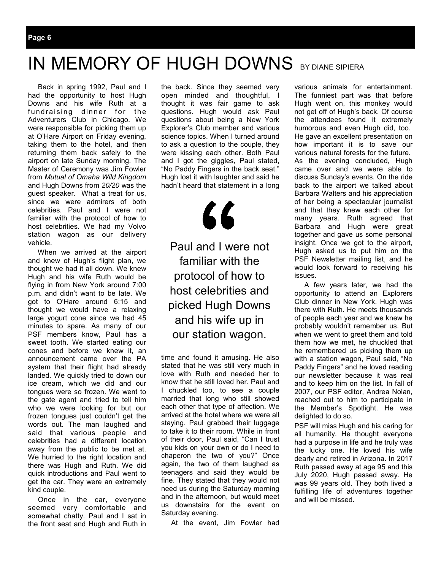### IN MEMORY OF HUGH DOWNS BY DIANE SIPIERA

 Back in spring 1992, Paul and I had the opportunity to host Hugh Downs and his wife Ruth at a fundraising dinner for the Adventurers Club in Chicago. We were responsible for picking them up at O'Hare Airport on Friday evening, taking them to the hotel, and then returning them back safely to the airport on late Sunday morning. The Master of Ceremony was Jim Fowler from *Mutual of Omaha Wild Kingdom*  and Hugh Downs from *20/20* was the guest speaker. What a treat for us, since we were admirers of both celebrities. Paul and I were not familiar with the protocol of how to host celebrities. We had my Volvo station wagon as our delivery vehicle.

 When we arrived at the airport and knew of Hugh's flight plan, we thought we had it all down. We knew Hugh and his wife Ruth would be flying in from New York around 7:00 p.m. and didn't want to be late. We got to O'Hare around 6:15 and thought we would have a relaxing large yogurt cone since we had 45 minutes to spare. As many of our PSF members know, Paul has a sweet tooth. We started eating our cones and before we knew it, an announcement came over the PA system that their flight had already landed. We quickly tried to down our ice cream, which we did and our tongues were so frozen. We went to the gate agent and tried to tell him who we were looking for but our frozen tongues just couldn't get the words out. The man laughed and said that various people and celebrities had a different location away from the public to be met at. We hurried to the right location and there was Hugh and Ruth. We did quick introductions and Paul went to get the car. They were an extremely kind couple.

 Once in the car, everyone seemed very comfortable and somewhat chatty. Paul and I sat in the front seat and Hugh and Ruth in

the back. Since they seemed very open minded and thoughtful, I thought it was fair game to ask questions. Hugh would ask Paul questions about being a New York Explorer's Club member and various science topics. When I turned around to ask a question to the couple, they were kissing each other. Both Paul and I got the giggles, Paul stated, "No Paddy Fingers in the back seat." Hugh lost it with laughter and said he hadn't heard that statement in a long



Paul and I were not familiar with the protocol of how to host celebrities and picked Hugh Downs and his wife up in our station wagon.

time and found it amusing. He also stated that he was still very much in love with Ruth and needed her to know that he still loved her. Paul and I chuckled too, to see a couple married that long who still showed each other that type of affection. We arrived at the hotel where we were all staying. Paul grabbed their luggage to take it to their room. While in front of their door, Paul said, "Can I trust you kids on your own or do I need to chaperon the two of you?" Once again, the two of them laughed as teenagers and said they would be fine. They stated that they would not need us during the Saturday morning and in the afternoon, but would meet us downstairs for the event on Saturday evening.

At the event, Jim Fowler had

various animals for entertainment. The funniest part was that before Hugh went on, this monkey would not get off of Hugh's back. Of course the attendees found it extremely humorous and even Hugh did, too. He gave an excellent presentation on how important it is to save our various natural forests for the future. As the evening concluded, Hugh came over and we were able to discuss Sunday's events. On the ride back to the airport we talked about Barbara Walters and his appreciation of her being a spectacular journalist and that they knew each other for many years. Ruth agreed that Barbara and Hugh were great together and gave us some personal insight. Once we got to the airport, Hugh asked us to put him on the PSF Newsletter mailing list, and he would look forward to receiving his issues.

 A few years later, we had the opportunity to attend an Explorers Club dinner in New York. Hugh was there with Ruth. He meets thousands of people each year and we knew he probably wouldn't remember us. But when we went to greet them and told them how we met, he chuckled that he remembered us picking them up with a station wagon, Paul said, "No Paddy Fingers" and he loved reading our newsletter because it was real and to keep him on the list. In fall of 2007, our PSF editor, Andrea Nolan, reached out to him to participate in the Member's Spotlight. He was delighted to do so.

PSF will miss Hugh and his caring for all humanity. He thought everyone had a purpose in life and he truly was the lucky one. He loved his wife dearly and retired in Arizona. In 2017 Ruth passed away at age 95 and this July 2020, Hugh passed away. He was 99 years old. They both lived a fulfilling life of adventures together and will be missed.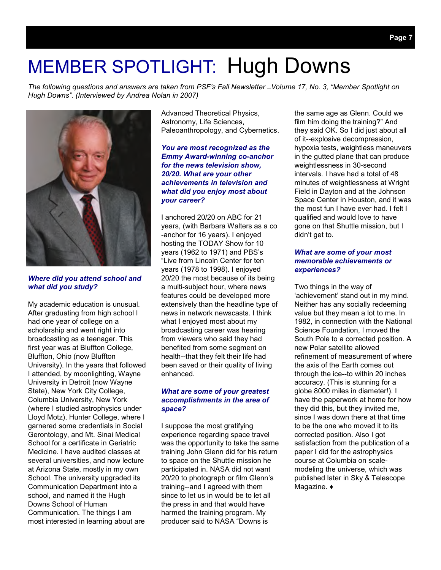## MEMBER SPOTLIGHT: Hugh Downs

*The following questions and answers are taken from PSF's Fall Newsletter ̶ Volume 17, No. 3, "Member Spotlight on Hugh Downs". (Interviewed by Andrea Nolan in 2007)* 



*Where did you attend school and what did you study?* 

My academic education is unusual. After graduating from high school I had one year of college on a scholarship and went right into broadcasting as a teenager. This first year was at Bluffton College, Bluffton, Ohio (now Bluffton University). In the years that followed I attended, by moonlighting, Wayne University in Detroit (now Wayne State), New York City College, Columbia University, New York (where I studied astrophysics under Lloyd Motz), Hunter College, where I garnered some credentials in Social Gerontology, and Mt. Sinai Medical School for a certificate in Geriatric Medicine. I have audited classes at several universities, and now lecture at Arizona State, mostly in my own School. The university upgraded its Communication Department into a school, and named it the Hugh Downs School of Human Communication. The things I am most interested in learning about are

Advanced Theoretical Physics, Astronomy, Life Sciences, Paleoanthropology, and Cybernetics.

#### *You are most recognized as the Emmy Award-winning co-anchor for the news television show, 20/20. What are your other achievements in television and what did you enjoy most about your career?*

I anchored 20/20 on ABC for 21 years, (with Barbara Walters as a co -anchor for 16 years). I enjoyed hosting the TODAY Show for 10 years (1962 to 1971) and PBS's "Live from Lincoln Center for ten years (1978 to 1998). I enjoyed 20/20 the most because of its being a multi-subject hour, where news features could be developed more extensively than the headline type of news in network newscasts. I think what I enjoyed most about my broadcasting career was hearing from viewers who said they had benefited from some segment on health--that they felt their life had been saved or their quality of living enhanced.

#### *What are some of your greatest accomplishments in the area of space?*

I suppose the most gratifying experience regarding space travel was the opportunity to take the same training John Glenn did for his return to space on the Shuttle mission he participated in. NASA did not want 20/20 to photograph or film Glenn's training--and I agreed with them since to let us in would be to let all the press in and that would have harmed the training program. My producer said to NASA "Downs is

the same age as Glenn. Could we film him doing the training?" And they said OK. So I did just about all of it--explosive decompression, hypoxia tests, weightless maneuvers in the gutted plane that can produce weightlessness in 30-second intervals. I have had a total of 48 minutes of weightlessness at Wright Field in Dayton and at the Johnson Space Center in Houston, and it was the most fun I have ever had. I felt I qualified and would love to have gone on that Shuttle mission, but I didn't get to.

#### *What are some of your most memorable achievements or experiences?*

Two things in the way of 'achievement' stand out in my mind. Neither has any socially redeeming value but they mean a lot to me. In 1982, in connection with the National Science Foundation, I moved the South Pole to a corrected position. A new Polar satellite allowed refinement of measurement of where the axis of the Earth comes out through the ice--to within 20 inches accuracy. (This is stunning for a globe 8000 miles in diameter!). I have the paperwork at home for how they did this, but they invited me, since I was down there at that time to be the one who moved it to its corrected position. Also I got satisfaction from the publication of a paper I did for the astrophysics course at Columbia on scalemodeling the universe, which was published later in Sky & Telescope Magazine. ♦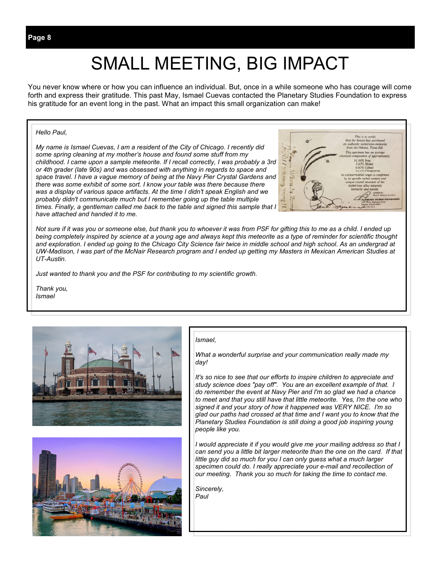## SMALL MEETING, BIG IMPACT

You never know where or how you can influence an individual. But, once in a while someone who has courage will come forth and express their gratitude. This past May, Ismael Cuevas contacted the Planetary Studies Foundation to express his gratitude for an event long in the past. What an impact this small organization can make!

#### *Hello Paul,*

*My name is Ismael Cuevas, I am a resident of the City of Chicago. I recently did some spring cleaning at my mother's house and found some stuff from my childhood. I came upon a sample meteorite. If I recall correctly, I was probably a 3rd or 4th grader (late 90s) and was obsessed with anything in regards to space and space travel. I have a vague memory of being at the Navy Pier Crystal Gardens and there was some exhibit of some sort. I know your table was there because there was a display of various space artifacts. At the time I didn't speak English and we probably didn't communicate much but I remember going up the table multiple times. Finally, a gentleman called me back to the table and signed this sample that I have attached and handed it to me.* 



*Not sure if it was you or someone else, but thank you to whoever it was from PSF for gifting this to me as a child. I ended up being completely inspired by science at a young age and always kept this meteorite as a type of reminder for scientific thought and exploration. I ended up going to the Chicago City Science fair twice in middle school and high school. As an undergrad at UW-Madison, I was part of the McNair Research program and I ended up getting my Masters in Mexican American Studies at UT-Austin.* 

*Just wanted to thank you and the PSF for contributing to my scientific growth.* 

*Thank you, Ismael* 





#### *Ismael,*

*What a wonderful surprise and your communication really made my day!* 

*It's so nice to see that our efforts to inspire children to appreciate and study science does "pay off". You are an excellent example of that. I do remember the event at Navy Pier and I'm so glad we had a chance to meet and that you still have that little meteorite. Yes, I'm the one who signed it and your story of how it happened was VERY NICE. I'm so glad our paths had crossed at that time and I want you to know that the Planetary Studies Foundation is still doing a good job inspiring young people like you.* 

*I* would appreciate it if you would give me your mailing address so that I can send you a little bit larger meteorite than the one on the card. If that *little guy did so much for you I can only guess what a much larger specimen could do. I really appreciate your e-mail and recollection of our meeting. Thank you so much for taking the time to contact me.* 

*Sincerely, Paul*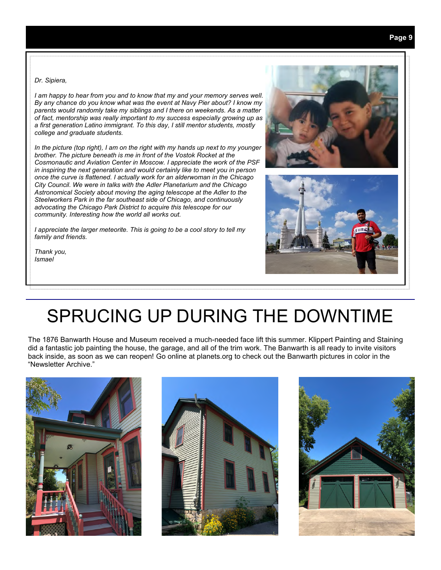*Dr. Sipiera,* 

*I am happy to hear from you and to know that my and your memory serves well. By any chance do you know what was the event at Navy Pier about? I know my parents would randomly take my siblings and I there on weekends. As a matter of fact, mentorship was really important to my success especially growing up as a first generation Latino immigrant. To this day, I still mentor students, mostly college and graduate students.* 

*In the picture (top right), I am on the right with my hands up next to my younger brother. The picture beneath is me in front of the Vostok Rocket at the Cosmonautic and Aviation Center in Moscow. I appreciate the work of the PSF in inspiring the next generation and would certainly like to meet you in person once the curve is flattened. I actually work for an alderwoman in the Chicago City Council. We were in talks with the Adler Planetarium and the Chicago Astronomical Society about moving the aging telescope at the Adler to the Steelworkers Park in the far southeast side of Chicago, and continuously advocating the Chicago Park District to acquire this telescope for our community. Interesting how the world all works out.*

*I appreciate the larger meteorite. This is going to be a cool story to tell my family and friends.* 

*Thank you, Ismael* 





### SPRUCING UP DURING THE DOWNTIME

The 1876 Banwarth House and Museum received a much-needed face lift this summer. Klippert Painting and Staining did a fantastic job painting the house, the garage, and all of the trim work. The Banwarth is all ready to invite visitors back inside, as soon as we can reopen! Go online at planets.org to check out the Banwarth pictures in color in the "Newsletter Archive."





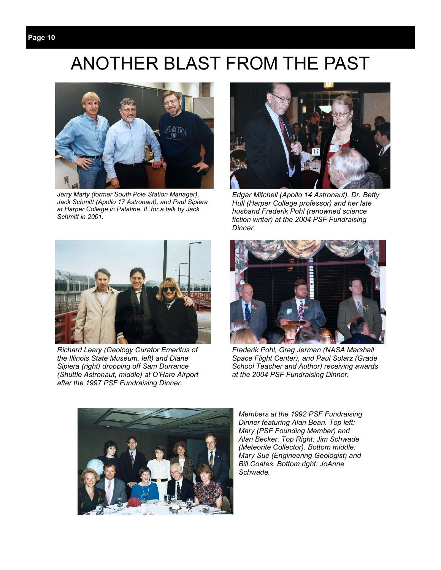### **Page 10**

### ANOTHER BLAST FROM THE PAST



*Jerry Marty (former South Pole Station Manager), Jack Schmitt (Apollo 17 Astronaut), and Paul Sipiera at Harper College in Palatine, IL for a talk by Jack Schmitt in 2001.* 



*Edgar Mitchell (Apollo 14 Astronaut), Dr. Betty Hull (Harper College professor) and her late husband Frederik Pohl (renowned science fiction writer) at the 2004 PSF Fundraising Dinner.* 



*Richard Leary (Geology Curator Emeritus of the Illinois State Museum, left) and Diane Sipiera (right) dropping off Sam Durrance (Shuttle Astronaut, middle) at O'Hare Airport after the 1997 PSF Fundraising Dinner.* 



*Frederik Pohl, Greg Jerman (NASA Marshall Space Flight Center), and Paul Solarz (Grade School Teacher and Author) receiving awards at the 2004 PSF Fundraising Dinner.* 



*Members at the 1992 PSF Fundraising Dinner featuring Alan Bean. Top left: Mary (PSF Founding Member) and Alan Becker. Top Right: Jim Schwade (Meteorite Collector). Bottom middle: Mary Sue (Engineering Geologist) and Bill Coates. Bottom right: JoAnne Schwade.*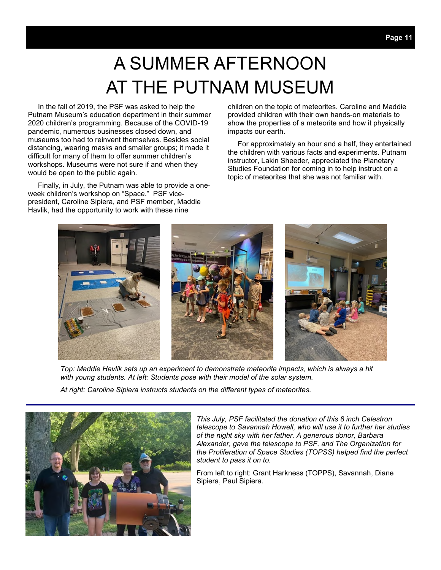## A SUMMER AFTERNOON AT THE PUTNAM MUSEUM

 In the fall of 2019, the PSF was asked to help the Putnam Museum's education department in their summer 2020 children's programming. Because of the COVID-19 pandemic, numerous businesses closed down, and museums too had to reinvent themselves. Besides social distancing, wearing masks and smaller groups; it made it difficult for many of them to offer summer children's workshops. Museums were not sure if and when they would be open to the public again.

 Finally, in July, the Putnam was able to provide a oneweek children's workshop on "Space." PSF vicepresident, Caroline Sipiera, and PSF member, Maddie Havlik, had the opportunity to work with these nine

children on the topic of meteorites. Caroline and Maddie provided children with their own hands-on materials to show the properties of a meteorite and how it physically impacts our earth.

 For approximately an hour and a half, they entertained the children with various facts and experiments. Putnam instructor, Lakin Sheeder, appreciated the Planetary Studies Foundation for coming in to help instruct on a topic of meteorites that she was not familiar with.



*Top: Maddie Havlik sets up an experiment to demonstrate meteorite impacts, which is always a hit with young students. At left: Students pose with their model of the solar system.* 

*At right: Caroline Sipiera instructs students on the different types of meteorites.* 



*This July, PSF facilitated the donation of this 8 inch Celestron telescope to Savannah Howell, who will use it to further her studies of the night sky with her father. A generous donor, Barbara Alexander, gave the telescope to PSF, and The Organization for the Proliferation of Space Studies (TOPSS) helped find the perfect student to pass it on to.* 

From left to right: Grant Harkness (TOPPS), Savannah, Diane Sipiera, Paul Sipiera.